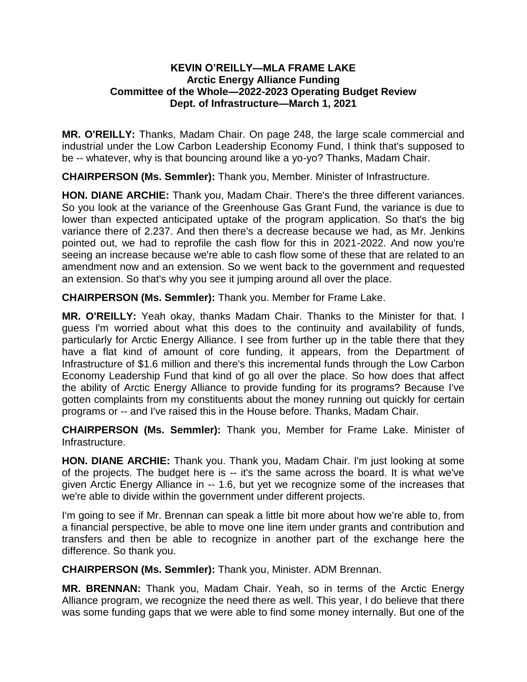## **KEVIN O'REILLY—MLA FRAME LAKE Arctic Energy Alliance Funding Committee of the Whole—2022-2023 Operating Budget Review Dept. of Infrastructure—March 1, 2021**

**MR. O'REILLY:** Thanks, Madam Chair. On page 248, the large scale commercial and industrial under the Low Carbon Leadership Economy Fund, I think that's supposed to be -- whatever, why is that bouncing around like a yo-yo? Thanks, Madam Chair.

**CHAIRPERSON (Ms. Semmler):** Thank you, Member. Minister of Infrastructure.

**HON. DIANE ARCHIE:** Thank you, Madam Chair. There's the three different variances. So you look at the variance of the Greenhouse Gas Grant Fund, the variance is due to lower than expected anticipated uptake of the program application. So that's the big variance there of 2.237. And then there's a decrease because we had, as Mr. Jenkins pointed out, we had to reprofile the cash flow for this in 2021-2022. And now you're seeing an increase because we're able to cash flow some of these that are related to an amendment now and an extension. So we went back to the government and requested an extension. So that's why you see it jumping around all over the place.

**CHAIRPERSON (Ms. Semmler):** Thank you. Member for Frame Lake.

**MR. O'REILLY:** Yeah okay, thanks Madam Chair. Thanks to the Minister for that. I guess I'm worried about what this does to the continuity and availability of funds, particularly for Arctic Energy Alliance. I see from further up in the table there that they have a flat kind of amount of core funding, it appears, from the Department of Infrastructure of \$1.6 million and there's this incremental funds through the Low Carbon Economy Leadership Fund that kind of go all over the place. So how does that affect the ability of Arctic Energy Alliance to provide funding for its programs? Because I've gotten complaints from my constituents about the money running out quickly for certain programs or -- and I've raised this in the House before. Thanks, Madam Chair.

**CHAIRPERSON (Ms. Semmler):** Thank you, Member for Frame Lake. Minister of Infrastructure.

**HON. DIANE ARCHIE:** Thank you. Thank you, Madam Chair. I'm just looking at some of the projects. The budget here is -- it's the same across the board. It is what we've given Arctic Energy Alliance in -- 1.6, but yet we recognize some of the increases that we're able to divide within the government under different projects.

I'm going to see if Mr. Brennan can speak a little bit more about how we're able to, from a financial perspective, be able to move one line item under grants and contribution and transfers and then be able to recognize in another part of the exchange here the difference. So thank you.

**CHAIRPERSON (Ms. Semmler):** Thank you, Minister. ADM Brennan.

**MR. BRENNAN:** Thank you, Madam Chair. Yeah, so in terms of the Arctic Energy Alliance program, we recognize the need there as well. This year, I do believe that there was some funding gaps that we were able to find some money internally. But one of the